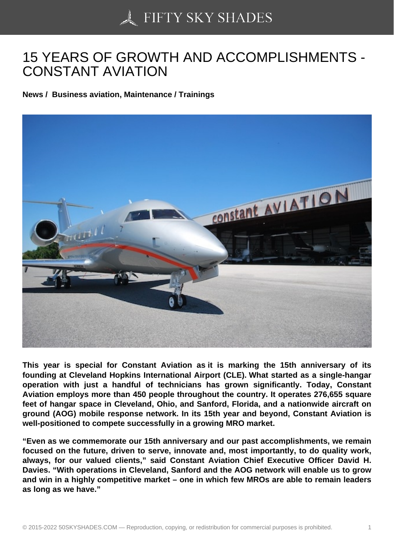## [15 YEARS OF GROWT](https://50skyshades.com)H AND ACCOMPLISHMENTS - CONSTANT AVIATION

News / Business aviation, Maintenance / Trainings

This year is special for Constant Aviation as it is marking the 15th anniversary of its founding at Cleveland Hopkins International Airport (CLE). What started as a single-hangar operation with just a handful of technicians has grown significantly. Today, Constant Aviation employs more than 450 people throughout the country. It operates 276,655 square feet of hangar space in Cleveland, Ohio, and Sanford, Florida, and a nationwide aircraft on ground (AOG) mobile response network. In its 15th year and beyond, Constant Aviation is well-positioned to compete successfully in a growing MRO market.

"Even as we commemorate our 15th anniversary and our past accomplishments, we remain focused on the future, driven to serve, innovate and, most importantly, to do quality work, always, for our valued clients," said Constant Aviation Chief Executive Officer David H. Davies. "With operations in Cleveland, Sanford and the AOG network will enable us to grow and win in a highly competitive market – one in which few MROs are able to remain leaders as long as we have."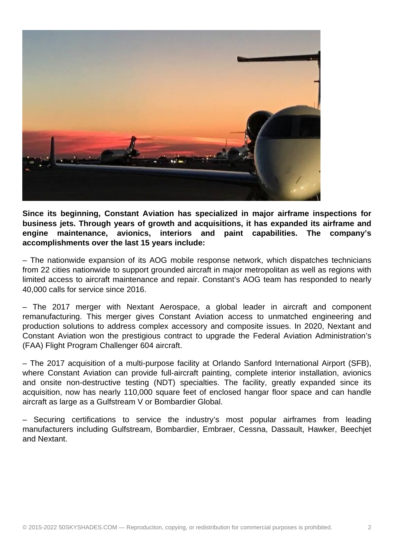

**Since its beginning, Constant Aviation has specialized in major airframe inspections for business jets. Through years of growth and acquisitions, it has expanded its airframe and engine maintenance, avionics, interiors and paint capabilities. The company's accomplishments over the last 15 years include:**

– The nationwide expansion of its AOG mobile response network, which dispatches technicians from 22 cities nationwide to support grounded aircraft in major metropolitan as well as regions with limited access to aircraft maintenance and repair. Constant's AOG team has responded to nearly 40,000 calls for service since 2016.

– The 2017 merger with Nextant Aerospace, a global leader in aircraft and component remanufacturing. This merger gives Constant Aviation access to unmatched engineering and production solutions to address complex accessory and composite issues. In 2020, Nextant and Constant Aviation won the prestigious contract to upgrade the Federal Aviation Administration's (FAA) Flight Program Challenger 604 aircraft.

– The 2017 acquisition of a multi-purpose facility at Orlando Sanford International Airport (SFB), where Constant Aviation can provide full-aircraft painting, complete interior installation, avionics and onsite non-destructive testing (NDT) specialties. The facility, greatly expanded since its acquisition, now has nearly 110,000 square feet of enclosed hangar floor space and can handle aircraft as large as a Gulfstream V or Bombardier Global.

– Securing certifications to service the industry's most popular airframes from leading manufacturers including Gulfstream, Bombardier, Embraer, Cessna, Dassault, Hawker, Beechjet and Nextant.